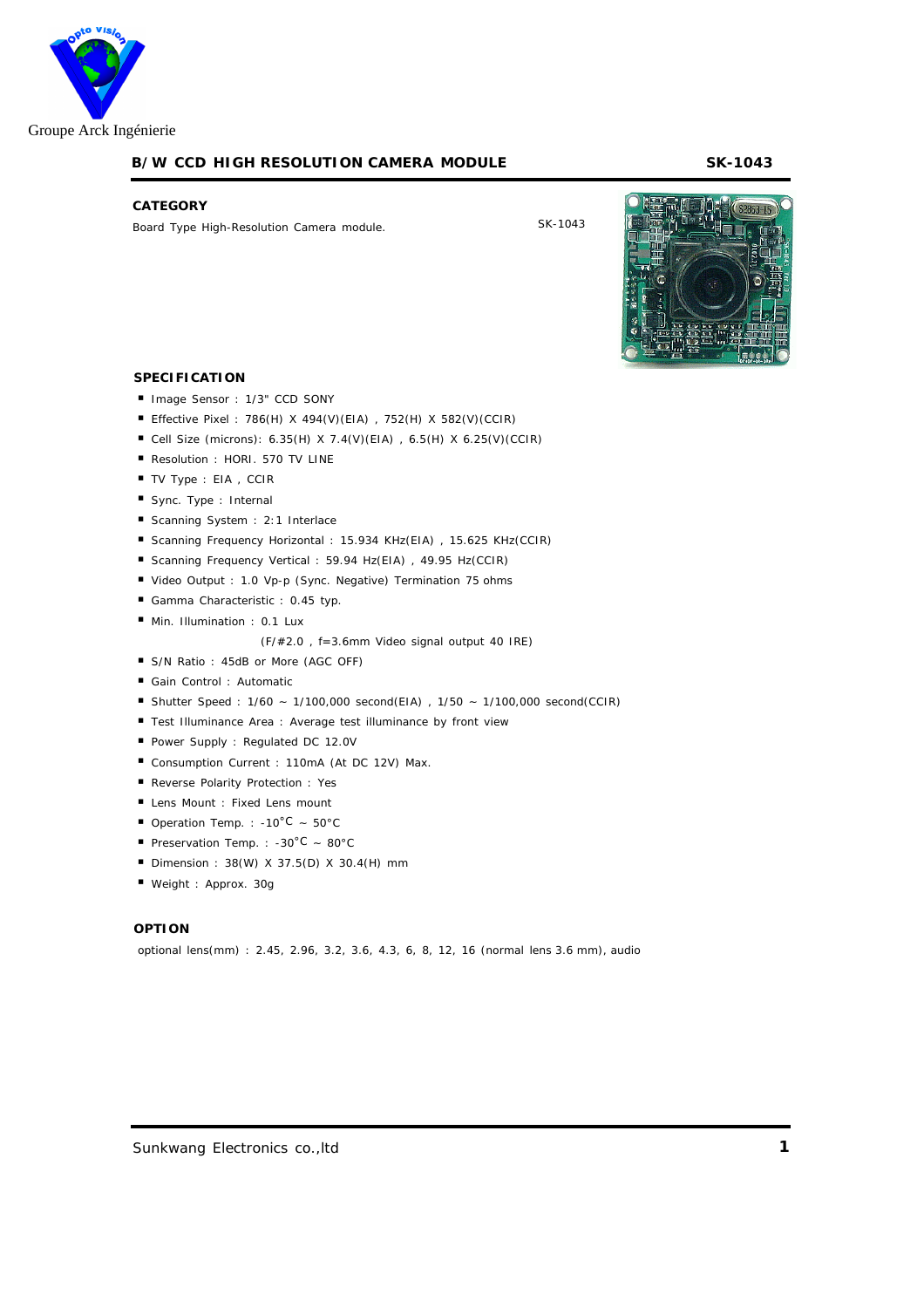

# **B/W CCD HIGH RESOLUTION CAMERA MODULE SK-1043**

#### **CATEGORY**

Board Type High-Resolution Camera module.

SK-1043



# **SPECIFICATION**

Image Sensor : 1/3" CCD SONY Effective Pixel : 786(H) X 494(V)(EIA) , 752(H) X 582(V)(CCIR) Cell Size (microns): 6.35(H) X 7.4(V)(EIA) , 6.5(H) X 6.25(V)(CCIR) Resolution : HORI. 570 TV LINE TV Type : EIA , CCIR Sync. Type : Internal Scanning System : 2:1 Interlace Scanning Frequency Horizontal : 15.934 KHz(EIA) , 15.625 KHz(CCIR) Scanning Frequency Vertical : 59.94 Hz(EIA) , 49.95 Hz(CCIR) Video Output : 1.0 Vp-p (Sync. Negative) Termination 75 ohms Gamma Characteristic : 0.45 typ. Min. Illumination : 0.1 Lux (F/#2.0 , f=3.6mm Video signal output 40 IRE) S/N Ratio : 45dB or More (AGC OFF) Gain Control : Automatic Shutter Speed : 1/60 ~ 1/100,000 second(EIA) , 1/50 ~ 1/100,000 second(CCIR) Test Illuminance Area : Average test illuminance by front view Power Supply : Regulated DC 12.0V Consumption Current : 110mA (At DC 12V) Max. Reverse Polarity Protection : Yes Lens Mount : Fixed Lens mount Operation Temp. : -10°C ~  $50^{\circ}$ C Preservation Temp. : -30°C ~ 80°C Dimension : 38(W) X 37.5(D) X 30.4(H) mm Weight : Approx. 30g

# **OPTION**

optional lens(mm) : 2.45, 2.96, 3.2, 3.6, 4.3, 6, 8, 12, 16 (normal lens 3.6 mm), audio